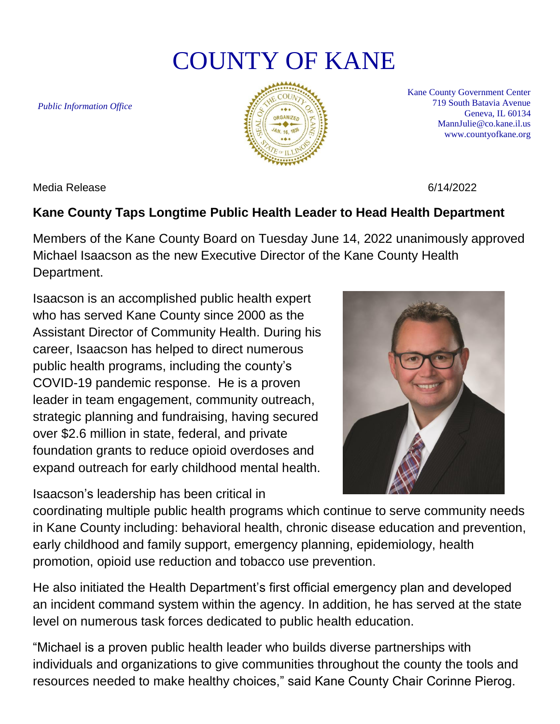## COUNTY OF KANE

*Public Information Office*



Kane County Government Center 719 South Batavia Avenue Geneva, IL 60134 MannJulie@co.kane.il.us www.countyofkane.org

Media Release 6/14/2022

## **Kane County Taps Longtime Public Health Leader to Head Health Department**

Members of the Kane County Board on Tuesday June 14, 2022 unanimously approved Michael Isaacson as the new Executive Director of the Kane County Health Department.

Isaacson is an accomplished public health expert who has served Kane County since 2000 as the Assistant Director of Community Health. During his career, Isaacson has helped to direct numerous public health programs, including the county's COVID-19 pandemic response. He is a proven leader in team engagement, community outreach, strategic planning and fundraising, having secured over \$2.6 million in state, federal, and private foundation grants to reduce opioid overdoses and expand outreach for early childhood mental health.

Isaacson's leadership has been critical in



coordinating multiple public health programs which continue to serve community needs in Kane County including: behavioral health, chronic disease education and prevention, early childhood and family support, emergency planning, epidemiology, health promotion, opioid use reduction and tobacco use prevention.

He also initiated the Health Department's first official emergency plan and developed an incident command system within the agency. In addition, he has served at the state level on numerous task forces dedicated to public health education.

"Michael is a proven public health leader who builds diverse partnerships with individuals and organizations to give communities throughout the county the tools and resources needed to make healthy choices," said Kane County Chair Corinne Pierog.